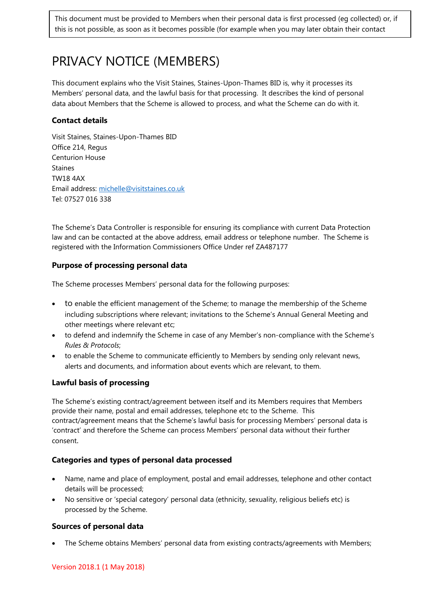This document must be provided to Members when their personal data is first processed (eg collected) or, if this is not possible, as soon as it becomes possible (for example when you may later obtain their contact

# PRIVACY NOTICE (MEMBERS)

This document explains who the Visit Staines, Staines-Upon-Thames BID is, why it processes its Members' personal data, and the lawful basis for that processing. It describes the kind of personal data about Members that the Scheme is allowed to process, and what the Scheme can do with it.

# **Contact details**

Visit Staines, Staines-Upon-Thames BID Office 214, Regus Centurion House Staines TW18 4AX Email address: [michelle@visitstaines.co.uk](mailto:michelle@visitstaines.co.uk) Tel: 07527 016 338

The Scheme's Data Controller is responsible for ensuring its compliance with current Data Protection law and can be contacted at the above address, email address or telephone number. The Scheme is registered with the Information Commissioners Office Under ref ZA487177

## **Purpose of processing personal data**

The Scheme processes Members' personal data for the following purposes:

- to enable the efficient management of the Scheme; to manage the membership of the Scheme including subscriptions where relevant; invitations to the Scheme's Annual General Meeting and other meetings where relevant etc;
- to defend and indemnify the Scheme in case of any Member's non-compliance with the Scheme's *Rules & Protocols*;
- to enable the Scheme to communicate efficiently to Members by sending only relevant news, alerts and documents, and information about events which are relevant, to them.

## **Lawful basis of processing**

The Scheme's existing contract/agreement between itself and its Members requires that Members provide their name, postal and email addresses, telephone etc to the Scheme. This contract/agreement means that the Scheme's lawful basis for processing Members' personal data is 'contract' and therefore the Scheme can process Members' personal data without their further consent.

#### **Categories and types of personal data processed**

- Name, name and place of employment, postal and email addresses, telephone and other contact details will be processed;
- No sensitive or 'special category' personal data (ethnicity, sexuality, religious beliefs etc) is processed by the Scheme.

## **Sources of personal data**

• The Scheme obtains Members' personal data from existing contracts/agreements with Members;